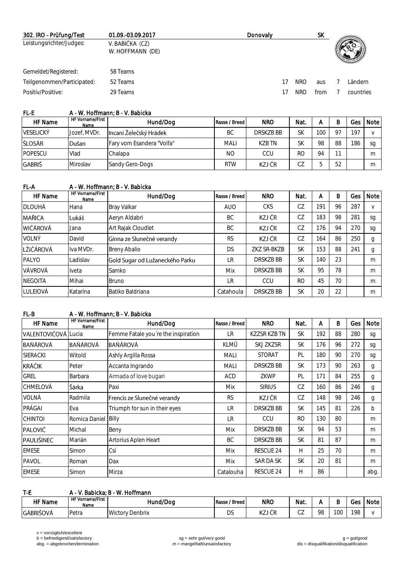| 302. IRO - Prüfung/Test    | 01.09.-03.09.2017                   | Donovaly |     | SK.  |           |
|----------------------------|-------------------------------------|----------|-----|------|-----------|
| Leistungsrichter/Judges:   | V. BABIČKA (CZ)<br>W. HOFFMANN (DE) |          |     |      |           |
| Gemeldet/Registered:       | 58 Teams                            |          |     |      |           |
| Teilgenommen/Participated: | 52 Teams                            |          | NRO | aus  | Ländern   |
| Positiv/Positive:          | 29 Teams                            |          | NRO | from | countries |

## FL-E A - W. Hoffmann; B - V. Babicka

| <b>HF</b> Name   | HF Vorname/First<br>Name | Hund/Dog                  | Rasse / Breed I | <b>NRO</b> | Nat.      | А   | B              | Ges. | Note I |
|------------------|--------------------------|---------------------------|-----------------|------------|-----------|-----|----------------|------|--------|
| <b>VESELICKÝ</b> | Jozef. MVDr.             | Incani Želečský Hrádek    | ВC              | DRSK7B BB  | SK        | 100 | O <sub>7</sub> | 197  |        |
| ŠLOSÁR           | Dušan                    | Fary vom Esandera "Volfa" | <b>MALI</b>     | K7B TN     | <b>SK</b> | 98  | 88             | 186  | sa     |
| <b>POPESCU</b>   | Vlad                     | Chalapa                   | NO.             | CCU        | RC        | 94  |                |      | m      |
| GABRIŠ           | Miroslav                 | Sandy Gero-Dogs           | <b>RTW</b>      | KZJ ČR     | CZ        |     | 52             |      | m      |

# FL-A A - W. Hoffmann; B - V. Babicka

| HF Name         | <b>HF Vorname/First</b><br>Name | Hund/Dog                        | Rasse / Breed | <b>NRO</b>      | Nat.           | A   | B  | Ges | Note   |
|-----------------|---------------------------------|---------------------------------|---------------|-----------------|----------------|-----|----|-----|--------|
| <b>DLOUHÁ</b>   | Hana                            | Bray Valkar                     | <b>AUO</b>    | <b>CKS</b>      | CZ             | 191 | 96 | 287 | $\vee$ |
| MAŘICA          | lLukáš                          | Aeryn Aldabri                   | BC.           | KZJ ČR          | CZ             | 183 | 98 | 281 | sg     |
| <b>WIČÁROVÁ</b> | Jana                            | Art Rajak Cloudlet              | BC.           | KZJ ČR          | CZ             | 176 | 94 | 270 | sg     |
| VOI NÝ          | David                           | Ginna ze Slunečné verandy       | <b>RS</b>     | KZJ ČR          | CZ             | 164 | 86 | 250 | g      |
| LŽIČÁROVÁ       | Iva MVDr.                       | <b>Breny Abalio</b>             | <b>DS</b>     | ZKZ SR-BKZB     | <b>SK</b>      | 153 | 88 | 241 | g      |
| <b>PAI YO</b>   | Ladislav                        | Gold Sugar od Lužaneckého Parku | LR            | <b>DRSKZBBB</b> | <b>SK</b>      | 140 | 23 |     | m      |
| VÁVROVÁ         | Iveta                           | Samko                           | Mix           | DRSK7B BB       | <b>SK</b>      | 95  | 78 |     | m      |
| <b>NEGOITA</b>  | Mihai                           | <b>Bruno</b>                    | <b>LR</b>     | CCU             | R <sub>O</sub> | 45  | 70 |     | m      |
| LULEIOVÁ        | Katarína                        | Batiko Baldriana                | Catahoula     | DRSKZB BB       | <b>SK</b>      | 20  | 22 |     | m      |

#### FL-B A - W. Hoffmann; B - V. Babicka

| <b>HF</b> Name      | <b>HF Vorname/First</b><br>Name | Hund/Dog                            | Rasse / Breed | <b>NRO</b>          | Nat.      | A   | B  | Ges | Note         |
|---------------------|---------------------------------|-------------------------------------|---------------|---------------------|-----------|-----|----|-----|--------------|
| VALENTOVIČOVÁ Lucia |                                 | Femme Fatale you're the inspiration | IR.           | <b>KZZSR KZB TN</b> | <b>SK</b> | 192 | 88 | 280 | sg           |
| <b>BAŇÁROVÁ</b>     | <b>BAŇÁROVÁ</b>                 | BAŇÁROVÁ                            | KLMÜ          | SKJ ZKZSR           | <b>SK</b> | 176 | 96 | 272 | sg           |
| <b>SIERACKI</b>     | Witold                          | Ashly Argilla Rossa                 | <b>MALI</b>   | <b>STORAT</b>       | PI        | 180 | 90 | 270 | sg           |
| <b>KRÁČIK</b>       | Peter                           | Accanta Ingrando                    | <b>MALI</b>   | DRSK7B BB           | <b>SK</b> | 173 | 90 | 263 | g            |
| GREL                | Barbara                         | Armada of love bugari               | ACD           | ZKWP                | PL        | 171 | 84 | 255 | g            |
| <b>CHMELOVÁ</b>     | Šárka                           | Paxi                                | Mix           | <b>SIRIUS</b>       | CZ        | 160 | 86 | 246 | g            |
| VOLNÁ               | Radmila                         | Frencis ze Slunečné verandy         | <b>RS</b>     | KZJ ČR              | CZ        | 148 | 98 | 246 | g            |
| PRÁGAI              | Eva                             | Triumph for sun in their eyes       | LR            | DRSKZB BB           | <b>SK</b> | 145 | 81 | 226 | $\mathsf{b}$ |
| <b>CHINTOI</b>      | Romica Daniel Billy             |                                     | LR            | CCU                 | <b>RO</b> | 130 | 80 |     | m            |
| PALOVIČ             | Michal                          | Beny                                | Mix           | DRSKZB BB           | <b>SK</b> | 94  | 53 |     | m            |
| lpaulišinec         | Marián                          | Artorius Aplen Heart                | <b>BC</b>     | DRSKZB BB           | <b>SK</b> | 81  | 87 |     | m            |
| <b>EMESE</b>        | Simon                           | Csí                                 | Mix           | <b>RESCUE 24</b>    | Н         | 25  | 70 |     | m            |
| PAVOL               | Roman                           | Dax                                 | Mix           | SAR DA SK           | <b>SK</b> | 20  | 81 |     | m            |
| <b>EMESE</b>        | Simon                           | Mirza                               | Catalouha     | <b>RESCUE 24</b>    | Н         | 86  |    |     | abg.         |

## T-E A - V. Babicka; B - W. Hoffmann

| HF Name   | LIE M<br>Vorname/First<br>пτ<br>Name | Hund/Dog                                   | ' Breed<br>Rasse, | <b>NRC</b>         | Nat.                       |         |              | Ges | Note |
|-----------|--------------------------------------|--------------------------------------------|-------------------|--------------------|----------------------------|---------|--------------|-----|------|
| GÁBRIŠOVÁ | 'Petra                               | $\Lambda$<br>Denbrix<br>$\sim$<br>v<br>IVW | n o<br>◡◡         | $17 -$<br>٦W.<br>╰ | $\sim$ $\rightarrow$<br>◡▵ | QQ<br>◡ | $\sim$<br>vv | 198 |      |